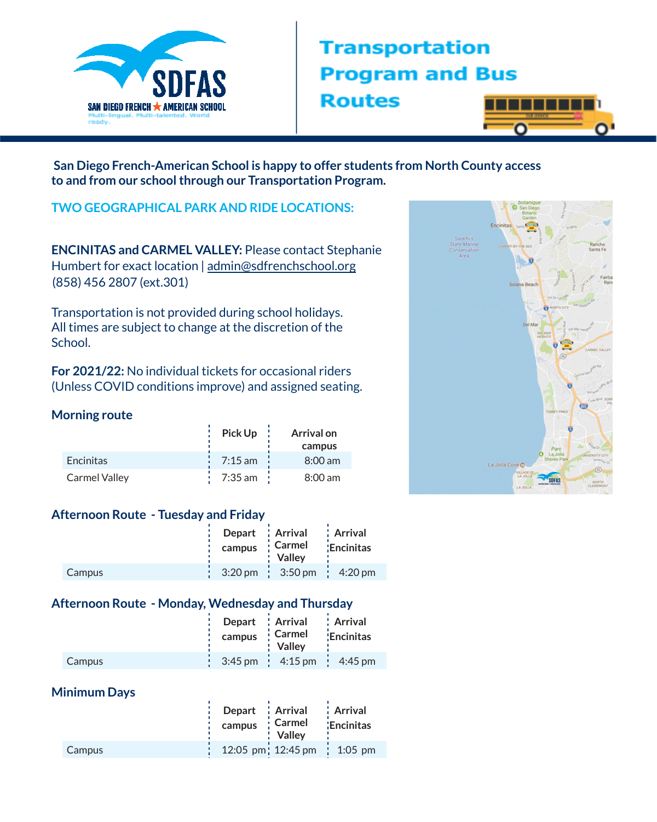

# **Transportation Program and Bus Routes**



**San Diego French-American School is happy to offer students from North County access to and from our schoolthrough our Transportation Program.**

## **TWO GEOGRAPHICAL PARK AND RIDE LOCATIONS:**

**ENCINITAS and CARMEL VALLEY:** Please contact Stephanie Humbert for exact location | [admin@sdfrenchschool.org](mailto:admin@sdfrenchschool.org) (858) 456 2807 (ext.301)

Transportation is not provided during school holidays. All times are subject to change at the discretion of the School.

**For 2021/22:** No individual tickets for occasional riders (Unless COVID conditions improve) and assigned seating.

#### **Morning route**

|                      | Pick Up               | <b>Arrival on</b> |
|----------------------|-----------------------|-------------------|
|                      |                       | campus            |
| <b>Encinitas</b>     | $\frac{1}{2}$ 7:15 am | $8:00$ am         |
| <b>Carmel Valley</b> | $7:35$ am $\pm$       | $8:00 \text{ am}$ |

#### **Afternoon Route - Tuesday and Friday**

|        | Depart   Arrival | <b>Carmel</b>                                         | : Arrival         |
|--------|------------------|-------------------------------------------------------|-------------------|
|        | campus           | : Vallev                                              | <b>Encinitas:</b> |
| Campus |                  | $3:20 \text{ pm}$ $3:50 \text{ pm}$ $4:20 \text{ pm}$ |                   |

### **Afternoon Route - Monday, Wednesday and Thursday**

|        | Depart Arrival                                                    | <b>Carmel</b> | : Arrival        |
|--------|-------------------------------------------------------------------|---------------|------------------|
|        | campus                                                            | : Vallev      | <b>Encinitas</b> |
| Campus | $\frac{1}{2}$ 3:45 pm $\frac{1}{2}$ 4:15 pm $\frac{1}{2}$ 4:45 pm |               |                  |

#### **Minimum Days**

|        | Depart : Arrival<br>• Carmel<br>campus<br>: Vallev | : Arrival<br>Encinitas |
|--------|----------------------------------------------------|------------------------|
| Campus | 12:05 pm 12:45 pm 1:05 pm                          |                        |